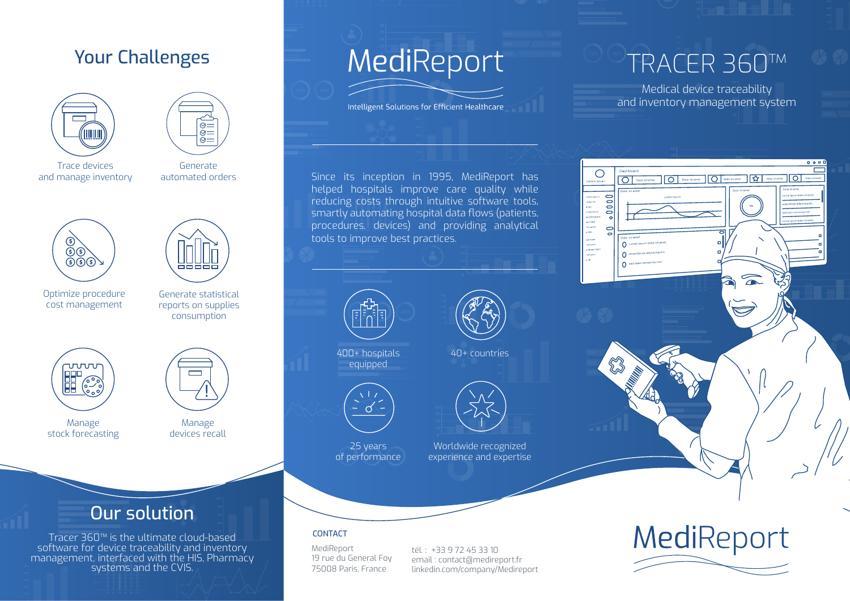# Your Challenges





Trace devices and manage inventory

Generate automated orders





Optimize procedure cost management

Generate statistical reports on supplies consumption



Manage stock forecasting

Manage devices recall

# Our solution

Tracer 360™ is the ultimate cloud-based software for device traceability and inventory management, interfaced with the HIS, Pharmacy systems and the CVIS.

# MediReport

Intelligent Solutions for Efficient Healthcare

TRACER 360™

Medical device traceability and inventory management system

 $\overline{\circ}$ 

 $\circ$ 

ed ekam<br>anumm

0000 .<br>alorsk

O Dolor sit amet

 $0000$ 

ক্ষি

 $\widehat{\phantom{a}}$ 

# Since its inception in 1995, MediReport has helped hospitals improve care quality while reducing costs through intuitive software tools, smartly automating hospital data flows (patients, procedures, devices) and providing analytical tools to improve best practices.



400+ hospitals equipped



25 years of performance





Worldwide recognized experience and expertise

#### CONTACT

MediReport 19 rue du General Foy 75008 Paris, France

tél. : +33 9 72 45 33 10 email : contact@medireport.fr [linkedin.com/company/Medireport](https://www.linkedin.com/company/medireport/)